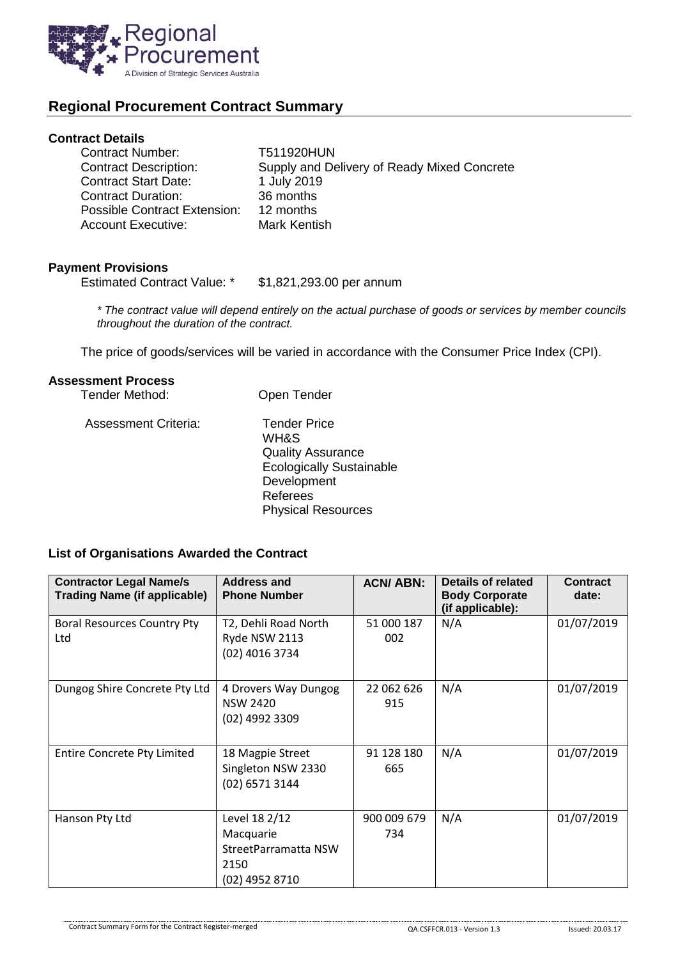

# **Regional Procurement Contract Summary**

## **Contract Details**

| <b>Contract Number:</b>             | T511920HUN                                  |
|-------------------------------------|---------------------------------------------|
| <b>Contract Description:</b>        | Supply and Delivery of Ready Mixed Concrete |
| <b>Contract Start Date:</b>         | 1 July 2019                                 |
| <b>Contract Duration:</b>           | 36 months                                   |
| <b>Possible Contract Extension:</b> | 12 months                                   |
| <b>Account Executive:</b>           | Mark Kentish                                |

#### **Payment Provisions**

Estimated Contract Value: \* \$1,821,293.00 per annum

*\* The contract value will depend entirely on the actual purchase of goods or services by member councils throughout the duration of the contract.*

The price of goods/services will be varied in accordance with the Consumer Price Index (CPI).

## **Assessment Process**

| Tender Method:              | Open Tender                                                                                                                                               |
|-----------------------------|-----------------------------------------------------------------------------------------------------------------------------------------------------------|
| <b>Assessment Criteria:</b> | <b>Tender Price</b><br>WH&S<br><b>Quality Assurance</b><br><b>Ecologically Sustainable</b><br>Development<br><b>Referees</b><br><b>Physical Resources</b> |

### **List of Organisations Awarded the Contract**

| <b>Contractor Legal Name/s</b><br><b>Trading Name (if applicable)</b> | <b>Address and</b><br><b>Phone Number</b>                                    | <b>ACN/ABN:</b>    | Details of related<br><b>Body Corporate</b><br>(if applicable): | <b>Contract</b><br>date: |
|-----------------------------------------------------------------------|------------------------------------------------------------------------------|--------------------|-----------------------------------------------------------------|--------------------------|
| <b>Boral Resources Country Pty</b><br>Ltd                             | T2, Dehli Road North<br>Ryde NSW 2113<br>(02) 4016 3734                      | 51 000 187<br>002  | N/A                                                             | 01/07/2019               |
| Dungog Shire Concrete Pty Ltd                                         | 4 Drovers Way Dungog<br><b>NSW 2420</b><br>(02) 4992 3309                    | 22 062 626<br>915  | N/A                                                             | 01/07/2019               |
| <b>Entire Concrete Pty Limited</b>                                    | 18 Magpie Street<br>Singleton NSW 2330<br>(02) 6571 3144                     | 91 128 180<br>665  | N/A                                                             | 01/07/2019               |
| Hanson Pty Ltd                                                        | Level 18 2/12<br>Macquarie<br>StreetParramatta NSW<br>2150<br>(02) 4952 8710 | 900 009 679<br>734 | N/A                                                             | 01/07/2019               |